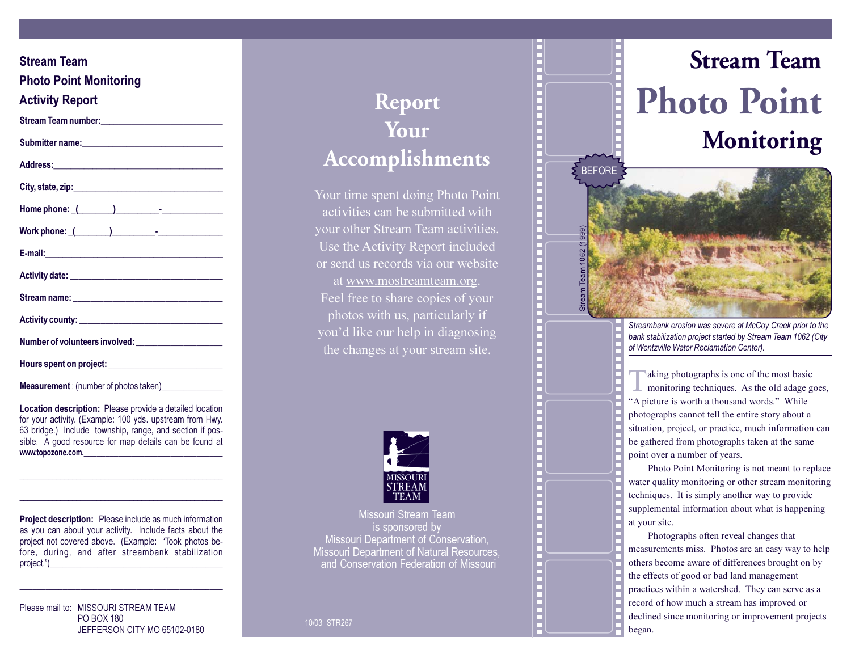| <b>Stream Team</b>                                                                                                                                                                                                                         |
|--------------------------------------------------------------------------------------------------------------------------------------------------------------------------------------------------------------------------------------------|
| <b>Photo Point Monitoring</b>                                                                                                                                                                                                              |
|                                                                                                                                                                                                                                            |
| <b>Activity Report</b>                                                                                                                                                                                                                     |
| Stream Team number: 1999                                                                                                                                                                                                                   |
|                                                                                                                                                                                                                                            |
|                                                                                                                                                                                                                                            |
|                                                                                                                                                                                                                                            |
|                                                                                                                                                                                                                                            |
|                                                                                                                                                                                                                                            |
|                                                                                                                                                                                                                                            |
|                                                                                                                                                                                                                                            |
|                                                                                                                                                                                                                                            |
|                                                                                                                                                                                                                                            |
| Number of volunteers involved: _________________________                                                                                                                                                                                   |
|                                                                                                                                                                                                                                            |
| <b>Measurement</b> : (number of photos taken)________________                                                                                                                                                                              |
| Location description: Please provide a detailed location<br>for your activity. (Example: 100 yds. upstream from Hwy.<br>63 bridge.) Include township, range, and section if pos-<br>sible. A good resource for map details can be found at |

**Project description:** Please include as much information as you can about your activity. Include facts about the project not covered above. (Example: "Took photos before, during, and after streambank stabilization project.")

www.topozone.com.

Please mail to: MISSOURI STREAM TEAM **PO BOX 180** JEFFERSON CITY MO 65102-0180

## Report Your Accomplishments

Your time spent doing Photo Point activities can be submitted with your other Stream Team activities. Use the Activity Report included or send us records via our website at www.mostreamteam.org. Feel free to share copies of your photos with us, particularly if you'd like our help in diagnosing the changes at your stream site.



Missouri Stream Team is sponsored by Missouri Department of Conservation. Missouri Department of Natural Resources, and Conservation Federation of Missouri





Streambank erosion was severe at McCoy Creek prior to the bank stabilization project started by Stream Team 1062 (City of Wentzville Water Reclamation Center).

aking photographs is one of the most basic monitoring techniques. As the old adage goes, "A picture is worth a thousand words." While photographs cannot tell the entire story about a situation, project, or practice, much information can be gathered from photographs taken at the same point over a number of years.

Photo Point Monitoring is not meant to replace water quality monitoring or other stream monitoring techniques. It is simply another way to provide supplemental information about what is happening at your site.

Photographs often reveal changes that measurements miss. Photos are an easy way to help others become aware of differences brought on by the effects of good or bad land management practices within a watershed. They can serve as a record of how much a stream has improved or declined since monitoring or improvement projects began.